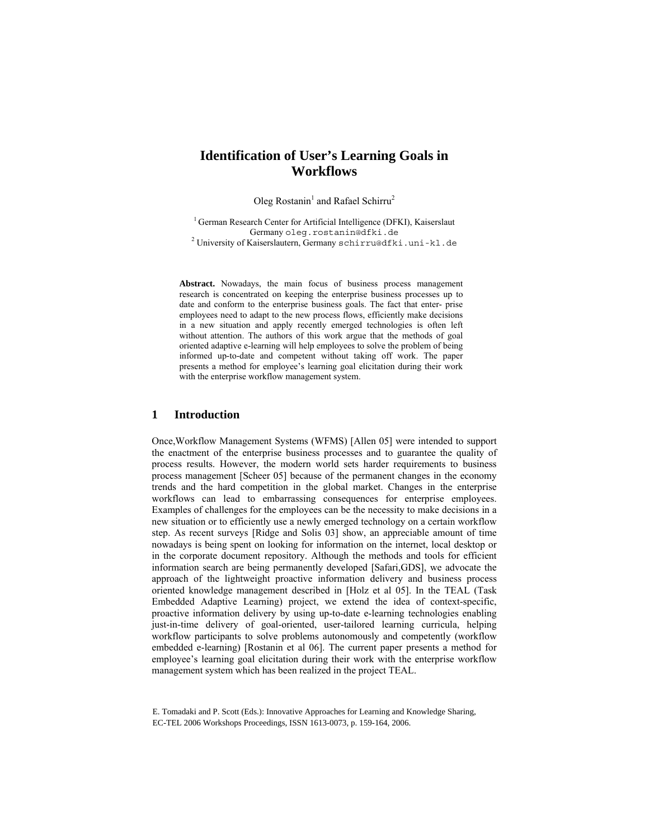# **Identification of User's Learning Goals in Workflows**

Oleg Rostanin<sup>1</sup> and Rafael Schirru<sup>2</sup>

 $1$  German Research Center for Artificial Intelligence (DFKI), Kaiserslaut Germany oleg.rostanin@dfki.de <sup>2</sup>

<sup>2</sup> University of Kaiserslautern, Germany schirru@dfki.uni-kl.de

**Abstract.** Nowadays, the main focus of business process management research is concentrated on keeping the enterprise business processes up to date and conform to the enterprise business goals. The fact that enter- prise employees need to adapt to the new process flows, efficiently make decisions in a new situation and apply recently emerged technologies is often left without attention. The authors of this work argue that the methods of goal oriented adaptive e-learning will help employees to solve the problem of being informed up-to-date and competent without taking off work. The paper presents a method for employee's learning goal elicitation during their work with the enterprise workflow management system.

#### **1 Introduction**

Once,Workflow Management Systems (WFMS) [Allen 05] were intended to support the enactment of the enterprise business processes and to guarantee the quality of process results. However, the modern world sets harder requirements to business process management [Scheer 05] because of the permanent changes in the economy trends and the hard competition in the global market. Changes in the enterprise workflows can lead to embarrassing consequences for enterprise employees. Examples of challenges for the employees can be the necessity to make decisions in a new situation or to efficiently use a newly emerged technology on a certain workflow step. As recent surveys [Ridge and Solis 03] show, an appreciable amount of time nowadays is being spent on looking for information on the internet, local desktop or in the corporate document repository. Although the methods and tools for efficient information search are being permanently developed [Safari,GDS], we advocate the approach of the lightweight proactive information delivery and business process oriented knowledge management described in [Holz et al 05]. In the TEAL (Task Embedded Adaptive Learning) project, we extend the idea of context-specific, proactive information delivery by using up-to-date e-learning technologies enabling just-in-time delivery of goal-oriented, user-tailored learning curricula, helping workflow participants to solve problems autonomously and competently (workflow embedded e-learning) [Rostanin et al 06]. The current paper presents a method for employee's learning goal elicitation during their work with the enterprise workflow management system which has been realized in the project TEAL.

E. Tomadaki and P. Scott (Eds.): Innovative Approaches for Learning and Knowledge Sharing, EC-TEL 2006 Workshops Proceedings, ISSN 1613-0073, p. 159-164, 2006.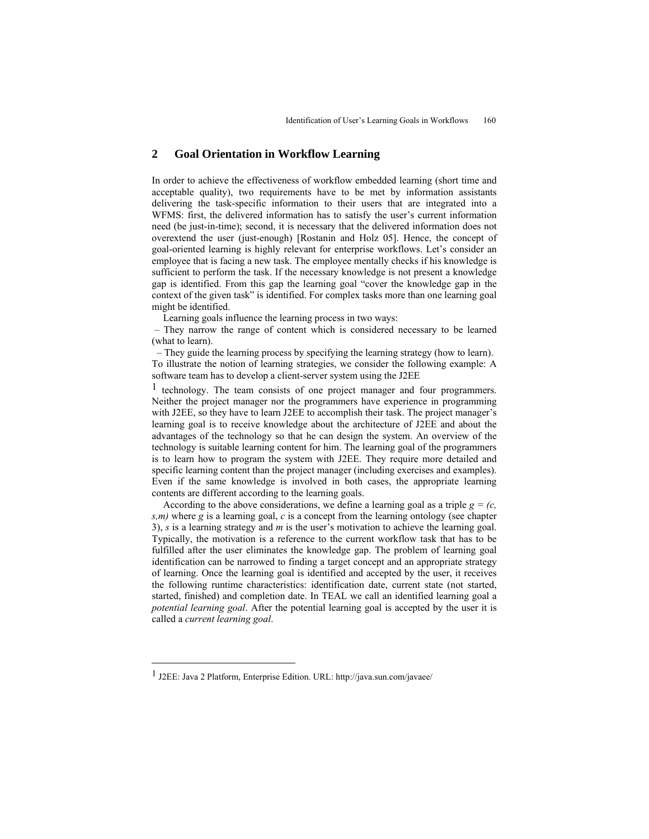## **2 Goal Orientation in Workflow Learning**

In order to achieve the effectiveness of workflow embedded learning (short time and acceptable quality), two requirements have to be met by information assistants delivering the task-specific information to their users that are integrated into a WFMS: first, the delivered information has to satisfy the user's current information need (be just-in-time); second, it is necessary that the delivered information does not overextend the user (just-enough) [Rostanin and Holz 05]. Hence, the concept of goal-oriented learning is highly relevant for enterprise workflows. Let's consider an employee that is facing a new task. The employee mentally checks if his knowledge is sufficient to perform the task. If the necessary knowledge is not present a knowledge gap is identified. From this gap the learning goal "cover the knowledge gap in the context of the given task" is identified. For complex tasks more than one learning goal might be identified.

Learning goals influence the learning process in two ways:

 – They narrow the range of content which is considered necessary to be learned (what to learn).

 – They guide the learning process by specifying the learning strategy (how to learn). To illustrate the notion of learning strategies, we consider the following example: A software team has to develop a client-server system using the J2EE

1 technology. The team consists of one project manager and four programmers. Neither the project manager nor the programmers have experience in programming with J2EE, so they have to learn J2EE to accomplish their task. The project manager's learning goal is to receive knowledge about the architecture of J2EE and about the advantages of the technology so that he can design the system. An overview of the technology is suitable learning content for him. The learning goal of the programmers is to learn how to program the system with J2EE. They require more detailed and specific learning content than the project manager (including exercises and examples). Even if the same knowledge is involved in both cases, the appropriate learning contents are different according to the learning goals.

According to the above considerations, we define a learning goal as a triple  $g = (c, \theta)$ *s,m)* where *g* is a learning goal, *c* is a concept from the learning ontology (see chapter 3), *s* is a learning strategy and *m* is the user's motivation to achieve the learning goal. Typically, the motivation is a reference to the current workflow task that has to be fulfilled after the user eliminates the knowledge gap. The problem of learning goal identification can be narrowed to finding a target concept and an appropriate strategy of learning. Once the learning goal is identified and accepted by the user, it receives the following runtime characteristics: identification date, current state (not started, started, finished) and completion date. In TEAL we call an identified learning goal a *potential learning goal*. After the potential learning goal is accepted by the user it is called a *current learning goal*.

 $\ddot{\phantom{a}}$ 

<sup>1</sup> J2EE: Java 2 Platform, Enterprise Edition. URL: http://java.sun.com/javaee/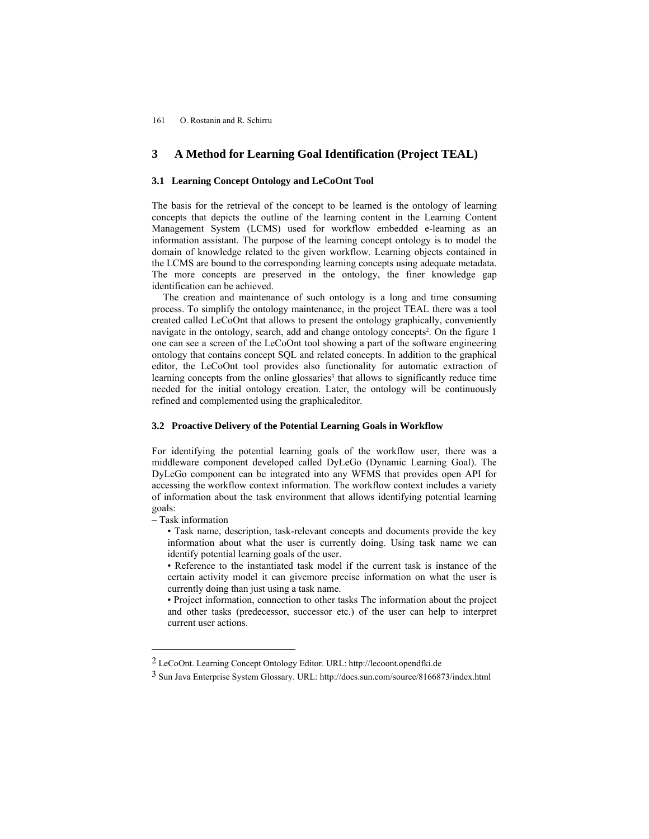#### 161 O. Rostanin and R. Schirru

## **3 A Method for Learning Goal Identification (Project TEAL)**

#### **3.1 Learning Concept Ontology and LeCoOnt Tool**

The basis for the retrieval of the concept to be learned is the ontology of learning concepts that depicts the outline of the learning content in the Learning Content Management System (LCMS) used for workflow embedded e-learning as an information assistant. The purpose of the learning concept ontology is to model the domain of knowledge related to the given workflow. Learning objects contained in the LCMS are bound to the corresponding learning concepts using adequate metadata. The more concepts are preserved in the ontology, the finer knowledge gap identification can be achieved.

The creation and maintenance of such ontology is a long and time consuming process. To simplify the ontology maintenance, in the project TEAL there was a tool created called LeCoOnt that allows to present the ontology graphically, conveniently navigate in the ontology, search, add and change ontology concepts2. On the figure 1 one can see a screen of the LeCoOnt tool showing a part of the software engineering ontology that contains concept SQL and related concepts. In addition to the graphical editor, the LeCoOnt tool provides also functionality for automatic extraction of learning concepts from the online glossaries<sup>3</sup> that allows to significantly reduce time needed for the initial ontology creation. Later, the ontology will be continuously refined and complemented using the graphicaleditor.

#### **3.2 Proactive Delivery of the Potential Learning Goals in Workflow**

For identifying the potential learning goals of the workflow user, there was a middleware component developed called DyLeGo (Dynamic Learning Goal). The DyLeGo component can be integrated into any WFMS that provides open API for accessing the workflow context information. The workflow context includes a variety of information about the task environment that allows identifying potential learning goals:

– Task information

 $\overline{a}$ 

- Task name, description, task-relevant concepts and documents provide the key information about what the user is currently doing. Using task name we can identify potential learning goals of the user.
- Reference to the instantiated task model if the current task is instance of the certain activity model it can givemore precise information on what the user is currently doing than just using a task name.

• Project information, connection to other tasks The information about the project and other tasks (predecessor, successor etc.) of the user can help to interpret current user actions.

<sup>2</sup> LeCoOnt. Learning Concept Ontology Editor. URL: http://lecoont.opendfki.de

<sup>3</sup> Sun Java Enterprise System Glossary. URL: http://docs.sun.com/source/8166873/index.html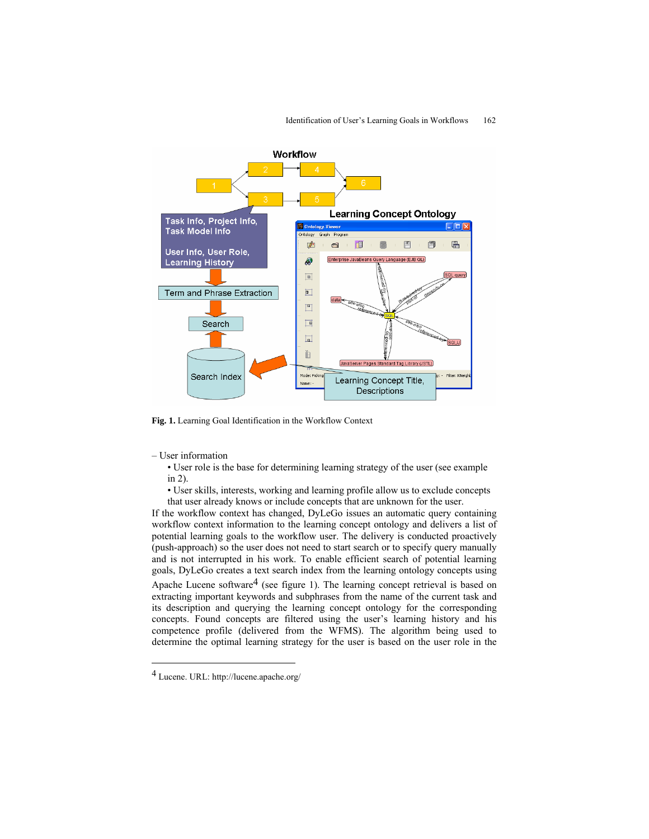

**Fig. 1.** Learning Goal Identification in the Workflow Context

– User information

• User role is the base for determining learning strategy of the user (see example in 2).

• User skills, interests, working and learning profile allow us to exclude concepts that user already knows or include concepts that are unknown for the user.

If the workflow context has changed, DyLeGo issues an automatic query containing workflow context information to the learning concept ontology and delivers a list of potential learning goals to the workflow user. The delivery is conducted proactively (push-approach) so the user does not need to start search or to specify query manually and is not interrupted in his work. To enable efficient search of potential learning goals, DyLeGo creates a text search index from the learning ontology concepts using Apache Lucene software<sup>4</sup> (see figure 1). The learning concept retrieval is based on extracting important keywords and subphrases from the name of the current task and its description and querying the learning concept ontology for the corresponding concepts. Found concepts are filtered using the user's learning history and his competence profile (delivered from the WFMS). The algorithm being used to determine the optimal learning strategy for the user is based on the user role in the

 $\ddot{\phantom{a}}$ 

<sup>4</sup> Lucene. URL: http://lucene.apache.org/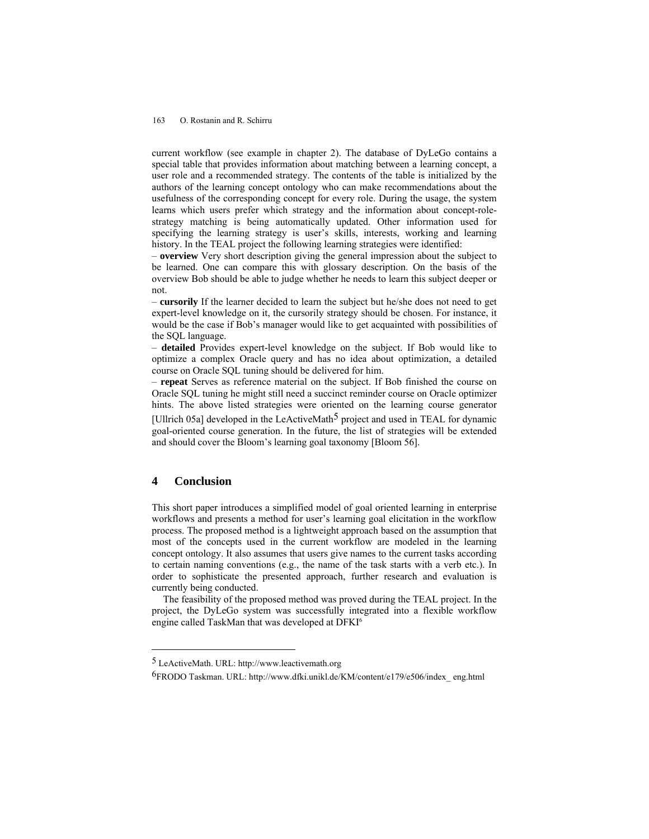#### 163 O. Rostanin and R. Schirru

current workflow (see example in chapter 2). The database of DyLeGo contains a special table that provides information about matching between a learning concept, a user role and a recommended strategy. The contents of the table is initialized by the authors of the learning concept ontology who can make recommendations about the usefulness of the corresponding concept for every role. During the usage, the system learns which users prefer which strategy and the information about concept-rolestrategy matching is being automatically updated. Other information used for specifying the learning strategy is user's skills, interests, working and learning history. In the TEAL project the following learning strategies were identified:

– **overview** Very short description giving the general impression about the subject to be learned. One can compare this with glossary description. On the basis of the overview Bob should be able to judge whether he needs to learn this subject deeper or not.

– **cursorily** If the learner decided to learn the subject but he/she does not need to get expert-level knowledge on it, the cursorily strategy should be chosen. For instance, it would be the case if Bob's manager would like to get acquainted with possibilities of the SQL language.

– **detailed** Provides expert-level knowledge on the subject. If Bob would like to optimize a complex Oracle query and has no idea about optimization, a detailed course on Oracle SQL tuning should be delivered for him.

– **repeat** Serves as reference material on the subject. If Bob finished the course on Oracle SQL tuning he might still need a succinct reminder course on Oracle optimizer hints. The above listed strategies were oriented on the learning course generator [Ullrich 05a] developed in the LeActiveMath<sup>5</sup> project and used in TEAL for dynamic goal-oriented course generation. In the future, the list of strategies will be extended and should cover the Bloom's learning goal taxonomy [Bloom 56].

# **4 Conclusion**

 $\overline{a}$ 

This short paper introduces a simplified model of goal oriented learning in enterprise workflows and presents a method for user's learning goal elicitation in the workflow process. The proposed method is a lightweight approach based on the assumption that most of the concepts used in the current workflow are modeled in the learning concept ontology. It also assumes that users give names to the current tasks according to certain naming conventions (e.g., the name of the task starts with a verb etc.). In order to sophisticate the presented approach, further research and evaluation is currently being conducted.

The feasibility of the proposed method was proved during the TEAL project. In the project, the DyLeGo system was successfully integrated into a flexible workflow engine called TaskMan that was developed at DFKI6

<sup>5</sup> LeActiveMath. URL: http://www.leactivemath.org

<sup>6</sup>FRODO Taskman. URL: http://www.dfki.unikl.de/KM/content/e179/e506/index\_ eng.html